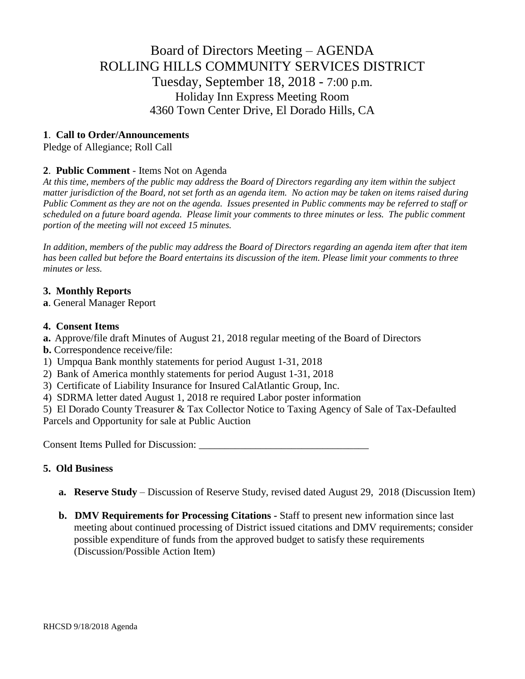# Board of Directors Meeting – AGENDA ROLLING HILLS COMMUNITY SERVICES DISTRICT Tuesday, September 18, 2018 - 7:00 p.m. Holiday Inn Express Meeting Room 4360 Town Center Drive, El Dorado Hills, CA

# **1**. **Call to Order/Announcements**

Pledge of Allegiance; Roll Call

# **2**. **Public Comment** - Items Not on Agenda

*At this time, members of the public may address the Board of Directors regarding any item within the subject matter jurisdiction of the Board, not set forth as an agenda item. No action may be taken on items raised during Public Comment as they are not on the agenda. Issues presented in Public comments may be referred to staff or scheduled on a future board agenda. Please limit your comments to three minutes or less. The public comment portion of the meeting will not exceed 15 minutes.*

*In addition, members of the public may address the Board of Directors regarding an agenda item after that item has been called but before the Board entertains its discussion of the item. Please limit your comments to three minutes or less.*

# **3. Monthly Reports**

**a**. General Manager Report

#### **4. Consent Items**

- **a.** Approve/file draft Minutes of August 21, 2018 regular meeting of the Board of Directors
- **b.** Correspondence receive/file:
- 1) Umpqua Bank monthly statements for period August 1-31, 2018
- 2) Bank of America monthly statements for period August 1-31, 2018
- 3) Certificate of Liability Insurance for Insured CalAtlantic Group, Inc.
- 4) SDRMA letter dated August 1, 2018 re required Labor poster information

5) El Dorado County Treasurer & Tax Collector Notice to Taxing Agency of Sale of Tax-Defaulted Parcels and Opportunity for sale at Public Auction

Consent Items Pulled for Discussion: \_\_\_\_\_\_\_\_\_\_\_\_\_\_\_\_\_\_\_\_\_\_\_\_\_\_\_\_\_\_\_\_\_

# **5. Old Business**

- **a. Reserve Study** Discussion of Reserve Study, revised dated August 29, 2018 (Discussion Item)
- **b. DMV Requirements for Processing Citations -** Staff to present new information since last meeting about continued processing of District issued citations and DMV requirements; consider possible expenditure of funds from the approved budget to satisfy these requirements (Discussion/Possible Action Item)